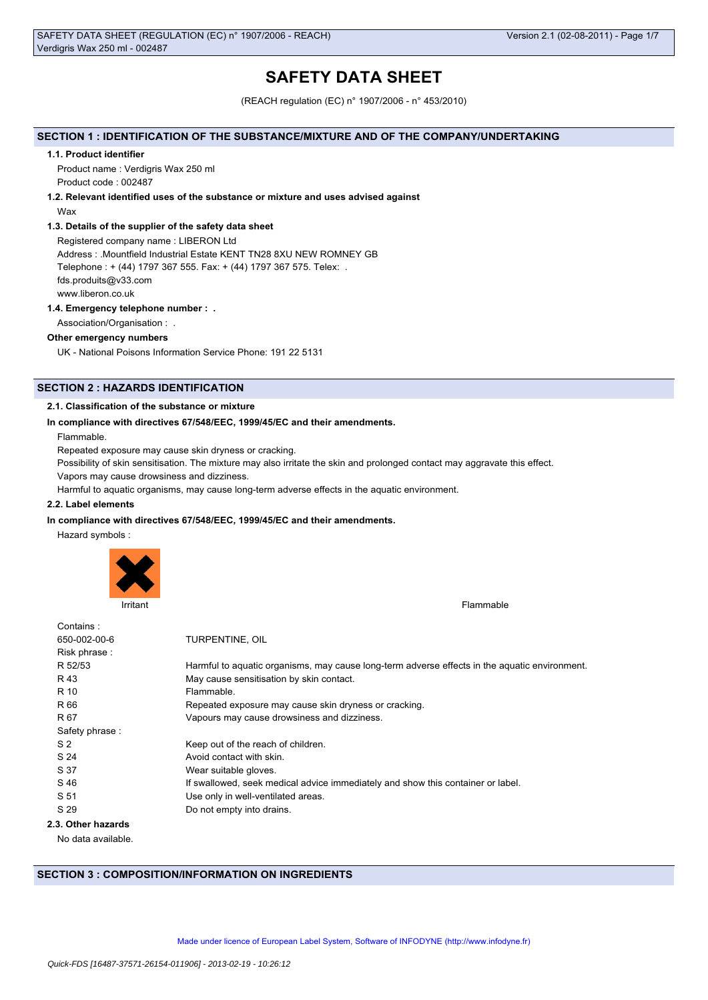# **SAFETY DATA SHEET**

(REACH regulation (EC) n° 1907/2006 - n° 453/2010)

## **SECTION 1 : IDENTIFICATION OF THE SUBSTANCE/MIXTURE AND OF THE COMPANY/UNDERTAKING**

#### **1.1. Product identifier**

Product name : Verdigris Wax 250 ml Product code : 002487

## **1.2. Relevant identified uses of the substance or mixture and uses advised against**

Wax

### **1.3. Details of the supplier of the safety data sheet**

Registered company name : LIBERON Ltd Address : .Mountfield Industrial Estate KENT TN28 8XU NEW ROMNEY GB Telephone : + (44) 1797 367 555. Fax: + (44) 1797 367 575. Telex: . fds.produits@v33.com www.liberon.co.uk

### **1.4. Emergency telephone number : .**

Association/Organisation : .

### **Other emergency numbers**

UK - National Poisons Information Service Phone: 191 22 5131

## **SECTION 2 : HAZARDS IDENTIFICATION**

### **2.1. Classification of the substance or mixture**

### **In compliance with directives 67/548/EEC, 1999/45/EC and their amendments.**

Flammable.

Repeated exposure may cause skin dryness or cracking.

Possibility of skin sensitisation. The mixture may also irritate the skin and prolonged contact may aggravate this effect.

Vapors may cause drowsiness and dizziness.

Harmful to aquatic organisms, may cause long-term adverse effects in the aquatic environment.

## **2.2. Label elements**

### **In compliance with directives 67/548/EEC, 1999/45/EC and their amendments.**

Hazard symbols :



Irritant Flammable **Institute of the Community Community** Community Community Community Community Community Community Community Community Community Community Community Community Community Community Community Community Comm

| Contains:          |                                                                                               |
|--------------------|-----------------------------------------------------------------------------------------------|
| 650-002-00-6       | TURPENTINE, OIL                                                                               |
| Risk phrase:       |                                                                                               |
| R 52/53            | Harmful to aquatic organisms, may cause long-term adverse effects in the aquatic environment. |
| R 43               | May cause sensitisation by skin contact.                                                      |
| R 10               | Flammable.                                                                                    |
| R 66               | Repeated exposure may cause skin dryness or cracking.                                         |
| R 67               | Vapours may cause drowsiness and dizziness.                                                   |
| Safety phrase:     |                                                                                               |
| S <sub>2</sub>     | Keep out of the reach of children.                                                            |
| S 24               | Avoid contact with skin.                                                                      |
| S 37               | Wear suitable gloves.                                                                         |
| S 46               | If swallowed, seek medical advice immediately and show this container or label.               |
| S 51               | Use only in well-ventilated areas.                                                            |
| S 29               | Do not empty into drains.                                                                     |
| 2.3. Other hazards |                                                                                               |
|                    |                                                                                               |

No data available.

## **SECTION 3 : COMPOSITION/INFORMATION ON INGREDIENTS**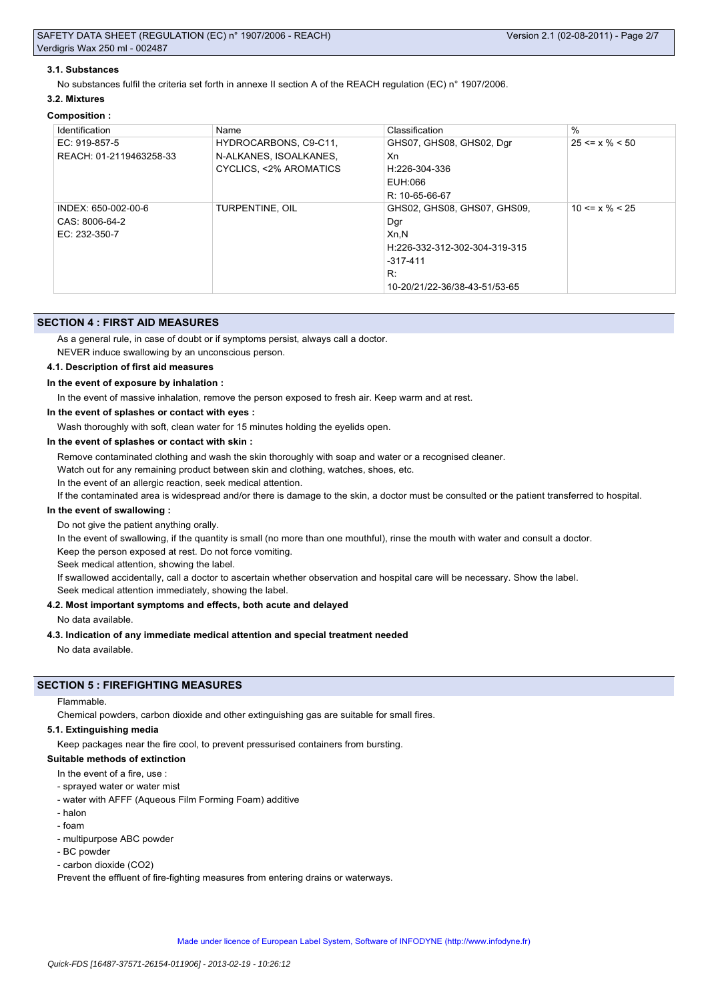### **3.1. Substances**

No substances fulfil the criteria set forth in annexe II section A of the REACH regulation (EC) n° 1907/2006.

### **3.2. Mixtures**

#### **Composition :**

| Identification          | Name                   | Classification                | $\frac{0}{0}$        |
|-------------------------|------------------------|-------------------------------|----------------------|
| EC: 919-857-5           | HYDROCARBONS, C9-C11,  | GHS07, GHS08, GHS02, Dgr      | $25 \le x \% \le 50$ |
| REACH: 01-2119463258-33 | N-ALKANES, ISOALKANES, | Xn                            |                      |
|                         | CYCLICS, <2% AROMATICS | H:226-304-336                 |                      |
|                         |                        | EUH:066                       |                      |
|                         |                        | R: 10-65-66-67                |                      |
| INDEX: 650-002-00-6     | TURPENTINE, OIL        | GHS02, GHS08, GHS07, GHS09,   | $10 \le x \% \le 25$ |
| CAS: 8006-64-2          |                        | Dgr                           |                      |
| EC: 232-350-7           |                        | Xn, N                         |                      |
|                         |                        | H:226-332-312-302-304-319-315 |                      |
|                         |                        | $-317-411$                    |                      |
|                         |                        | R:                            |                      |
|                         |                        | 10-20/21/22-36/38-43-51/53-65 |                      |

### **SECTION 4 : FIRST AID MEASURES**

As a general rule, in case of doubt or if symptoms persist, always call a doctor.

NEVER induce swallowing by an unconscious person.

### **4.1. Description of first aid measures**

#### **In the event of exposure by inhalation :**

In the event of massive inhalation, remove the person exposed to fresh air. Keep warm and at rest.

**In the event of splashes or contact with eyes :**

Wash thoroughly with soft, clean water for 15 minutes holding the eyelids open.

#### **In the event of splashes or contact with skin :**

Remove contaminated clothing and wash the skin thoroughly with soap and water or a recognised cleaner.

Watch out for any remaining product between skin and clothing, watches, shoes, etc.

In the event of an allergic reaction, seek medical attention.

If the contaminated area is widespread and/or there is damage to the skin, a doctor must be consulted or the patient transferred to hospital.

### **In the event of swallowing :**

Do not give the patient anything orally.

In the event of swallowing, if the quantity is small (no more than one mouthful), rinse the mouth with water and consult a doctor.

Keep the person exposed at rest. Do not force vomiting.

Seek medical attention, showing the label.

If swallowed accidentally, call a doctor to ascertain whether observation and hospital care will be necessary. Show the label.

Seek medical attention immediately, showing the label.

### **4.2. Most important symptoms and effects, both acute and delayed**

No data available.

#### **4.3. Indication of any immediate medical attention and special treatment needed**

No data available.

## **SECTION 5 : FIREFIGHTING MEASURES**

Flammable.

Chemical powders, carbon dioxide and other extinguishing gas are suitable for small fires.

#### **5.1. Extinguishing media**

Keep packages near the fire cool, to prevent pressurised containers from bursting.

### **Suitable methods of extinction**

- In the event of a fire, use
- sprayed water or water mist
- water with AFFF (Aqueous Film Forming Foam) additive
- halon
- foam
- multipurpose ABC powder
- BC powder
- carbon dioxide (CO2)

Prevent the effluent of fire-fighting measures from entering drains or waterways.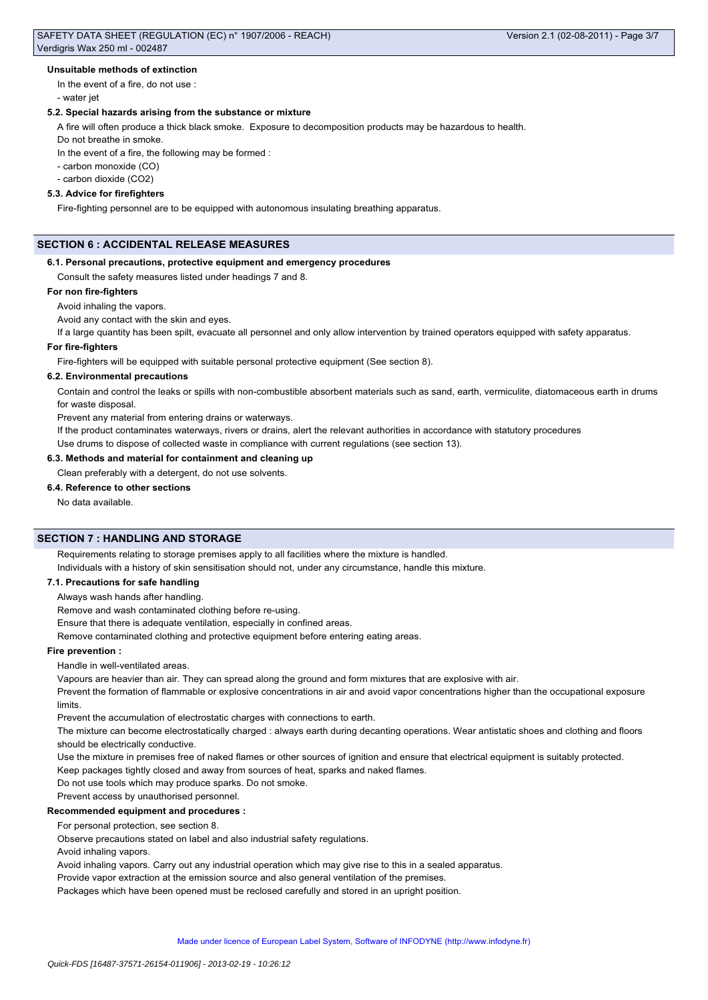### **Unsuitable methods of extinction**

In the event of a fire, do not use :

- water jet

## **5.2. Special hazards arising from the substance or mixture**

A fire will often produce a thick black smoke. Exposure to decomposition products may be hazardous to health.

Do not breathe in smoke.

In the event of a fire, the following may be formed :

- carbon monoxide (CO)

- carbon dioxide (CO2)

## **5.3. Advice for firefighters**

Fire-fighting personnel are to be equipped with autonomous insulating breathing apparatus.

## **SECTION 6 : ACCIDENTAL RELEASE MEASURES**

#### **6.1. Personal precautions, protective equipment and emergency procedures**

Consult the safety measures listed under headings 7 and 8.

#### **For non fire-fighters**

## Avoid inhaling the vapors.

Avoid any contact with the skin and eyes.

If a large quantity has been spilt, evacuate all personnel and only allow intervention by trained operators equipped with safety apparatus.

### **For fire-fighters**

Fire-fighters will be equipped with suitable personal protective equipment (See section 8).

#### **6.2. Environmental precautions**

Contain and control the leaks or spills with non-combustible absorbent materials such as sand, earth, vermiculite, diatomaceous earth in drums for waste disposal.

Prevent any material from entering drains or waterways.

If the product contaminates waterways, rivers or drains, alert the relevant authorities in accordance with statutory procedures

Use drums to dispose of collected waste in compliance with current regulations (see section 13).

## **6.3. Methods and material for containment and cleaning up**

Clean preferably with a detergent, do not use solvents.

### **6.4. Reference to other sections**

No data available.

## **SECTION 7 : HANDLING AND STORAGE**

Requirements relating to storage premises apply to all facilities where the mixture is handled. Individuals with a history of skin sensitisation should not, under any circumstance, handle this mixture.

### **7.1. Precautions for safe handling**

Always wash hands after handling.

Remove and wash contaminated clothing before re-using.

Ensure that there is adequate ventilation, especially in confined areas.

Remove contaminated clothing and protective equipment before entering eating areas.

### **Fire prevention :**

Handle in well-ventilated areas.

Vapours are heavier than air. They can spread along the ground and form mixtures that are explosive with air.

Prevent the formation of flammable or explosive concentrations in air and avoid vapor concentrations higher than the occupational exposure limits.

Prevent the accumulation of electrostatic charges with connections to earth.

The mixture can become electrostatically charged : always earth during decanting operations. Wear antistatic shoes and clothing and floors should be electrically conductive.

Use the mixture in premises free of naked flames or other sources of ignition and ensure that electrical equipment is suitably protected.

Keep packages tightly closed and away from sources of heat, sparks and naked flames.

Do not use tools which may produce sparks. Do not smoke.

Prevent access by unauthorised personnel.

### **Recommended equipment and procedures :**

For personal protection, see section 8.

Observe precautions stated on label and also industrial safety regulations.

Avoid inhaling vapors.

Avoid inhaling vapors. Carry out any industrial operation which may give rise to this in a sealed apparatus.

Provide vapor extraction at the emission source and also general ventilation of the premises.

Packages which have been opened must be reclosed carefully and stored in an upright position.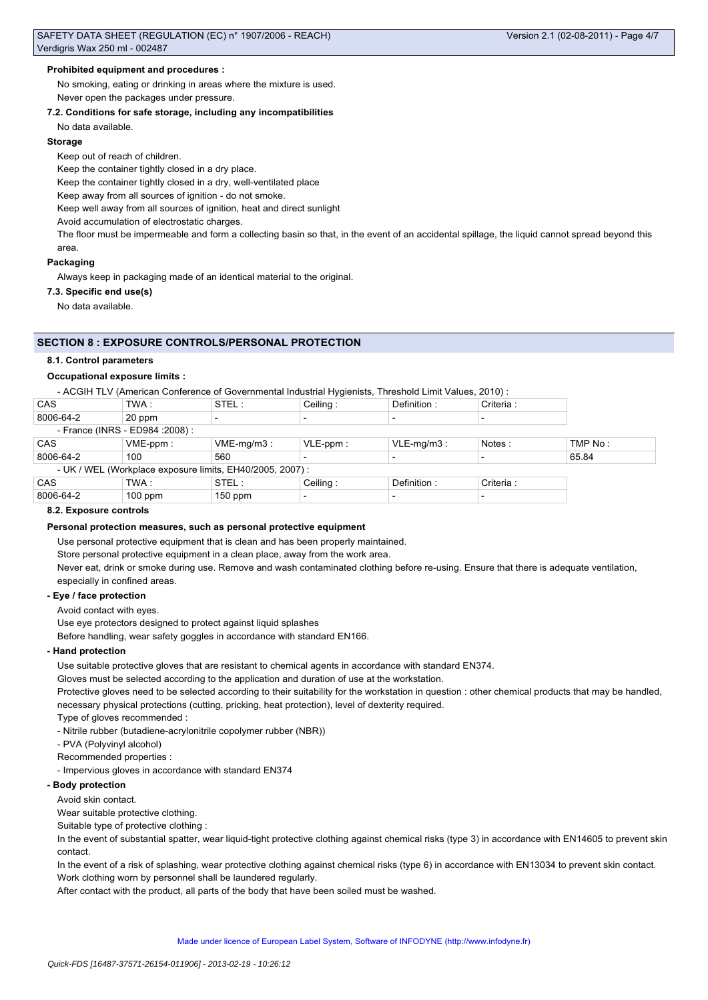## **Prohibited equipment and procedures :**

No smoking, eating or drinking in areas where the mixture is used. Never open the packages under pressure.

### **7.2. Conditions for safe storage, including any incompatibilities**

No data available.

#### **Storage**

Keep out of reach of children.

Keep the container tightly closed in a dry place.

Keep the container tightly closed in a dry, well-ventilated place

Keep away from all sources of ignition - do not smoke.

Keep well away from all sources of ignition, heat and direct sunlight

Avoid accumulation of electrostatic charges.

The floor must be impermeable and form a collecting basin so that, in the event of an accidental spillage, the liquid cannot spread beyond this area.

#### **Packaging**

Always keep in packaging made of an identical material to the original.

### **7.3. Specific end use(s)**

No data available.

### **SECTION 8 : EXPOSURE CONTROLS/PERSONAL PROTECTION**

#### **8.1. Control parameters**

### **Occupational exposure limits :**

- ACGIH TLV (American Conference of Governmental Industrial Hygienists, Threshold Limit Values, 2010) :

| CAS                                                       | TWA :       | STEL:         | Ceiling:                 | Definition:              | Criteria: |         |
|-----------------------------------------------------------|-------------|---------------|--------------------------|--------------------------|-----------|---------|
| 8006-64-2                                                 | 20 ppm      |               |                          |                          |           |         |
| - France (INRS - ED984 : 2008) :                          |             |               |                          |                          |           |         |
| <b>CAS</b>                                                | $VME-ppm$ : | $VME-mq/m3$ : | $VLE-ppm$ :              | $VLE-mq/m3$ :            | Notes :   | TMP No: |
| 8006-64-2                                                 | 100         | 560           |                          |                          |           | 65.84   |
| - UK / WEL (Workplace exposure limits, EH40/2005, 2007) : |             |               |                          |                          |           |         |
| CAS                                                       | TWA :       | STEL :        | Ceiling:                 | Definition:              | Criteria: |         |
| 8006-64-2                                                 | $100$ ppm   | $150$ ppm     | $\overline{\phantom{0}}$ | $\overline{\phantom{a}}$ |           |         |

#### **8.2. Exposure controls**

### **Personal protection measures, such as personal protective equipment**

Use personal protective equipment that is clean and has been properly maintained.

Store personal protective equipment in a clean place, away from the work area.

Never eat, drink or smoke during use. Remove and wash contaminated clothing before re-using. Ensure that there is adequate ventilation, especially in confined areas.

#### **- Eye / face protection**

Avoid contact with eyes.

Use eye protectors designed to protect against liquid splashes

Before handling, wear safety goggles in accordance with standard EN166.

#### **- Hand protection**

Use suitable protective gloves that are resistant to chemical agents in accordance with standard EN374.

Gloves must be selected according to the application and duration of use at the workstation.

Protective gloves need to be selected according to their suitability for the workstation in question : other chemical products that may be handled, necessary physical protections (cutting, pricking, heat protection), level of dexterity required.

Type of gloves recommended :

- Nitrile rubber (butadiene-acrylonitrile copolymer rubber (NBR))

- PVA (Polyvinyl alcohol)

Recommended properties :

- Impervious gloves in accordance with standard EN374

### **- Body protection**

Avoid skin contact.

Wear suitable protective clothing.

Suitable type of protective clothing :

In the event of substantial spatter, wear liquid-tight protective clothing against chemical risks (type 3) in accordance with EN14605 to prevent skin contact.

In the event of a risk of splashing, wear protective clothing against chemical risks (type 6) in accordance with EN13034 to prevent skin contact. Work clothing worn by personnel shall be laundered regularly.

After contact with the product, all parts of the body that have been soiled must be washed.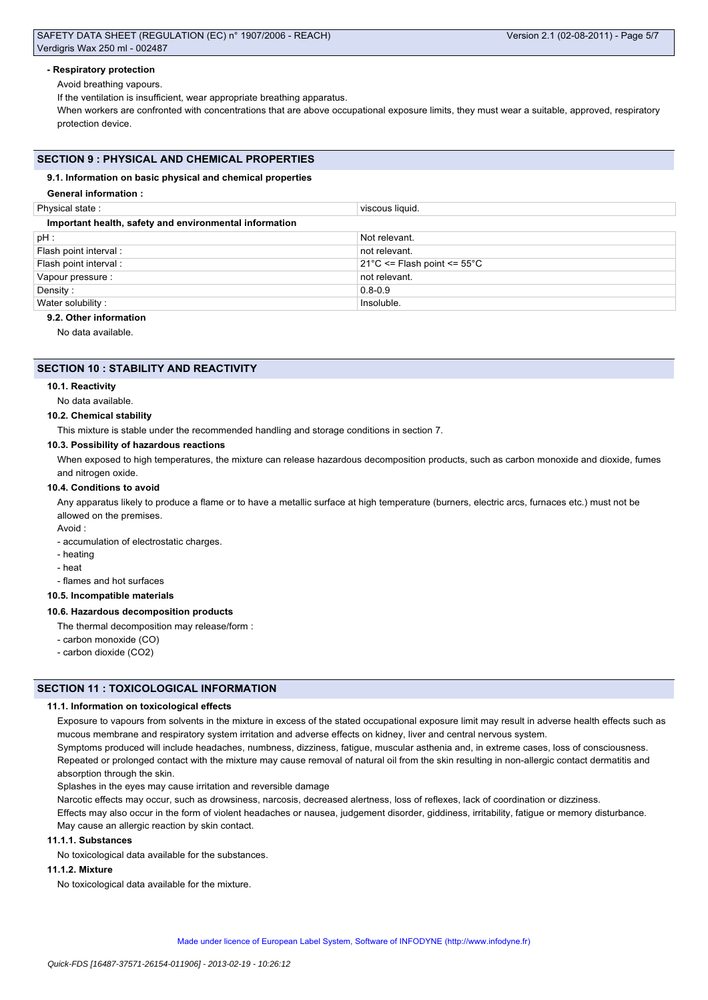## SAFETY DATA SHEET (REGULATION (EC) n° 1907/2006 - REACH) Verdigris Wax 250 ml - 002487

## **- Respiratory protection**

Avoid breathing vapours.

If the ventilation is insufficient, wear appropriate breathing apparatus.

When workers are confronted with concentrations that are above occupational exposure limits, they must wear a suitable, approved, respiratory protection device.

## **SECTION 9 : PHYSICAL AND CHEMICAL PROPERTIES**

## **9.1. Information on basic physical and chemical properties**

## **General information :**

| Physical state:                                                | viscous liquid.                                  |  |  |  |
|----------------------------------------------------------------|--------------------------------------------------|--|--|--|
| Important health, safety and environmental information         |                                                  |  |  |  |
| $pH$ :                                                         | Not relevant.                                    |  |  |  |
| Flash point interval:                                          | not relevant.                                    |  |  |  |
| Flash point interval :                                         | $21^{\circ}$ C <= Flash point <= 55 $^{\circ}$ C |  |  |  |
| Vapour pressure :                                              | not relevant.                                    |  |  |  |
| Density:                                                       | $0.8 - 0.9$                                      |  |  |  |
| Water solubility:                                              | Insoluble.                                       |  |  |  |
| $A \cap A$ $A$ $A$ $A$ $A$ $B$ $B$ $C$ $D$ $A$ $A$ $B$ $C$ $D$ |                                                  |  |  |  |

## **9.2. Other information**

No data available.

## **SECTION 10 : STABILITY AND REACTIVITY**

## **10.1. Reactivity**

No data available.

## **10.2. Chemical stability**

This mixture is stable under the recommended handling and storage conditions in section 7.

## **10.3. Possibility of hazardous reactions**

When exposed to high temperatures, the mixture can release hazardous decomposition products, such as carbon monoxide and dioxide, fumes and nitrogen oxide.

## **10.4. Conditions to avoid**

Any apparatus likely to produce a flame or to have a metallic surface at high temperature (burners, electric arcs, furnaces etc.) must not be allowed on the premises.

#### Avoid :

- accumulation of electrostatic charges.

- heating
- heat
- flames and hot surfaces

### **10.5. Incompatible materials**

### **10.6. Hazardous decomposition products**

- The thermal decomposition may release/form :
- carbon monoxide (CO)
- carbon dioxide (CO2)

## **SECTION 11 : TOXICOLOGICAL INFORMATION**

### **11.1. Information on toxicological effects**

Exposure to vapours from solvents in the mixture in excess of the stated occupational exposure limit may result in adverse health effects such as mucous membrane and respiratory system irritation and adverse effects on kidney, liver and central nervous system.

Symptoms produced will include headaches, numbness, dizziness, fatigue, muscular asthenia and, in extreme cases, loss of consciousness. Repeated or prolonged contact with the mixture may cause removal of natural oil from the skin resulting in non-allergic contact dermatitis and absorption through the skin.

Splashes in the eyes may cause irritation and reversible damage

Narcotic effects may occur, such as drowsiness, narcosis, decreased alertness, loss of reflexes, lack of coordination or dizziness. Effects may also occur in the form of violent headaches or nausea, judgement disorder, giddiness, irritability, fatigue or memory disturbance. May cause an allergic reaction by skin contact.

### **11.1.1. Substances**

No toxicological data available for the substances.

## **11.1.2. Mixture**

No toxicological data available for the mixture.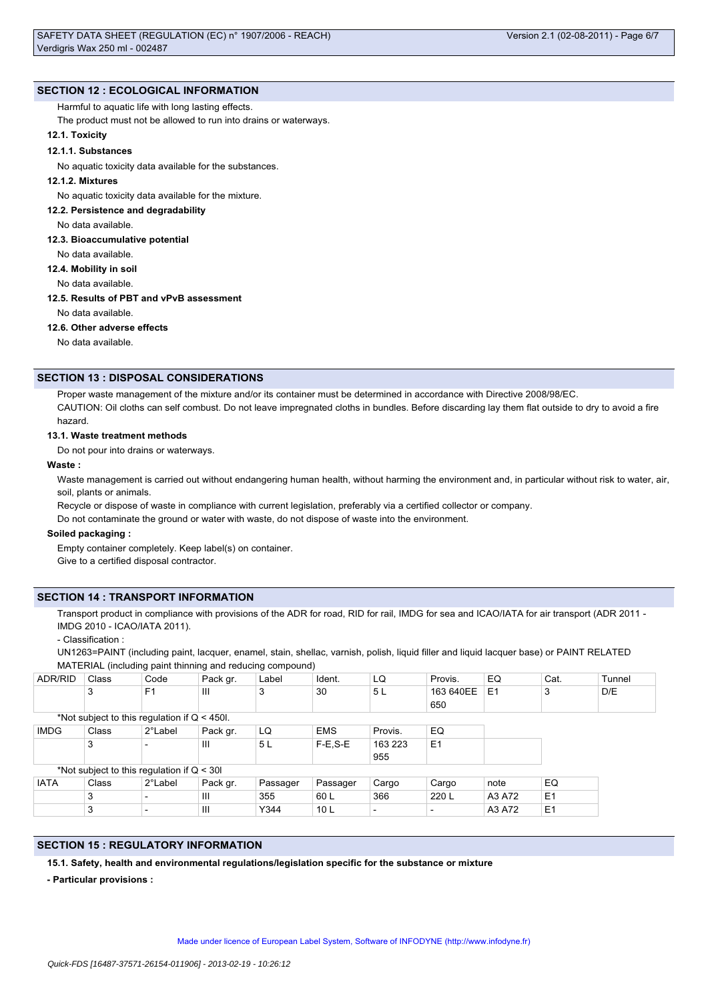## **SECTION 12 : ECOLOGICAL INFORMATION**

## Harmful to aquatic life with long lasting effects.

The product must not be allowed to run into drains or waterways.

## **12.1. Toxicity**

## **12.1.1. Substances**

No aquatic toxicity data available for the substances.

## **12.1.2. Mixtures**

No aquatic toxicity data available for the mixture.

## **12.2. Persistence and degradability**

No data available.

## **12.3. Bioaccumulative potential**

No data available.

## **12.4. Mobility in soil**

No data available.

## **12.5. Results of PBT and vPvB assessment**

No data available.

## **12.6. Other adverse effects**

No data available.

## **SECTION 13 : DISPOSAL CONSIDERATIONS**

Proper waste management of the mixture and/or its container must be determined in accordance with Directive 2008/98/EC. CAUTION: Oil cloths can self combust. Do not leave impregnated cloths in bundles. Before discarding lay them flat outside to dry to avoid a fire hazard.

### **13.1. Waste treatment methods**

Do not pour into drains or waterways.

### **Waste :**

Waste management is carried out without endangering human health, without harming the environment and, in particular without risk to water, air, soil, plants or animals.

Recycle or dispose of waste in compliance with current legislation, preferably via a certified collector or company.

Do not contaminate the ground or water with waste, do not dispose of waste into the environment.

### **Soiled packaging :**

Empty container completely. Keep label(s) on container. Give to a certified disposal contractor.

## **SECTION 14 : TRANSPORT INFORMATION**

Transport product in compliance with provisions of the ADR for road, RID for rail, IMDG for sea and ICAO/IATA for air transport (ADR 2011 -IMDG 2010 - ICAO/IATA 2011).

- Classification :

UN1263=PAINT (including paint, lacquer, enamel, stain, shellac, varnish, polish, liquid filler and liquid lacquer base) or PAINT RELATED MATERIAL (including paint thinning and reducing compound)

| <b>ADR/RID</b>                                 | Class | Code                     | Pack gr.       | Label    | Ident.          | LQ      | Provis.        | EQ             | Cat.           | Tunnel |
|------------------------------------------------|-------|--------------------------|----------------|----------|-----------------|---------|----------------|----------------|----------------|--------|
|                                                | 3     | F <sub>1</sub>           | $\mathbf{III}$ | 3        | 30              | 5L      | 163 640EE      | E <sub>1</sub> | 3              | D/E    |
|                                                |       |                          |                |          |                 |         | 650            |                |                |        |
| *Not subject to this regulation if $Q < 450$ . |       |                          |                |          |                 |         |                |                |                |        |
| <b>IMDG</b>                                    | Class | 2°Label                  | Pack gr.       | LQ       | <b>EMS</b>      | Provis. | EQ             |                |                |        |
|                                                | 3     | $\overline{\phantom{0}}$ | Ш              | 5 L      | $F-E.S-E$       | 163 223 | E <sub>1</sub> |                |                |        |
|                                                |       |                          |                |          |                 | 955     |                |                |                |        |
| *Not subject to this regulation if $Q < 30I$   |       |                          |                |          |                 |         |                |                |                |        |
| <b>IATA</b>                                    | Class | 2°Label                  | Pack gr.       | Passager | Passager        | Cargo   | Cargo          | note           | EQ             |        |
|                                                | 3     | $\overline{\phantom{0}}$ | Ш              | 355      | 60 L            | 366     | 220 L          | A3 A72         | E <sub>1</sub> |        |
|                                                | 3     | $\overline{\phantom{a}}$ | III            | Y344     | 10 <sub>L</sub> |         |                | A3 A72         | E <sub>1</sub> |        |

## **SECTION 15 : REGULATORY INFORMATION**

**15.1. Safety, health and environmental regulations/legislation specific for the substance or mixture**

**- Particular provisions :**